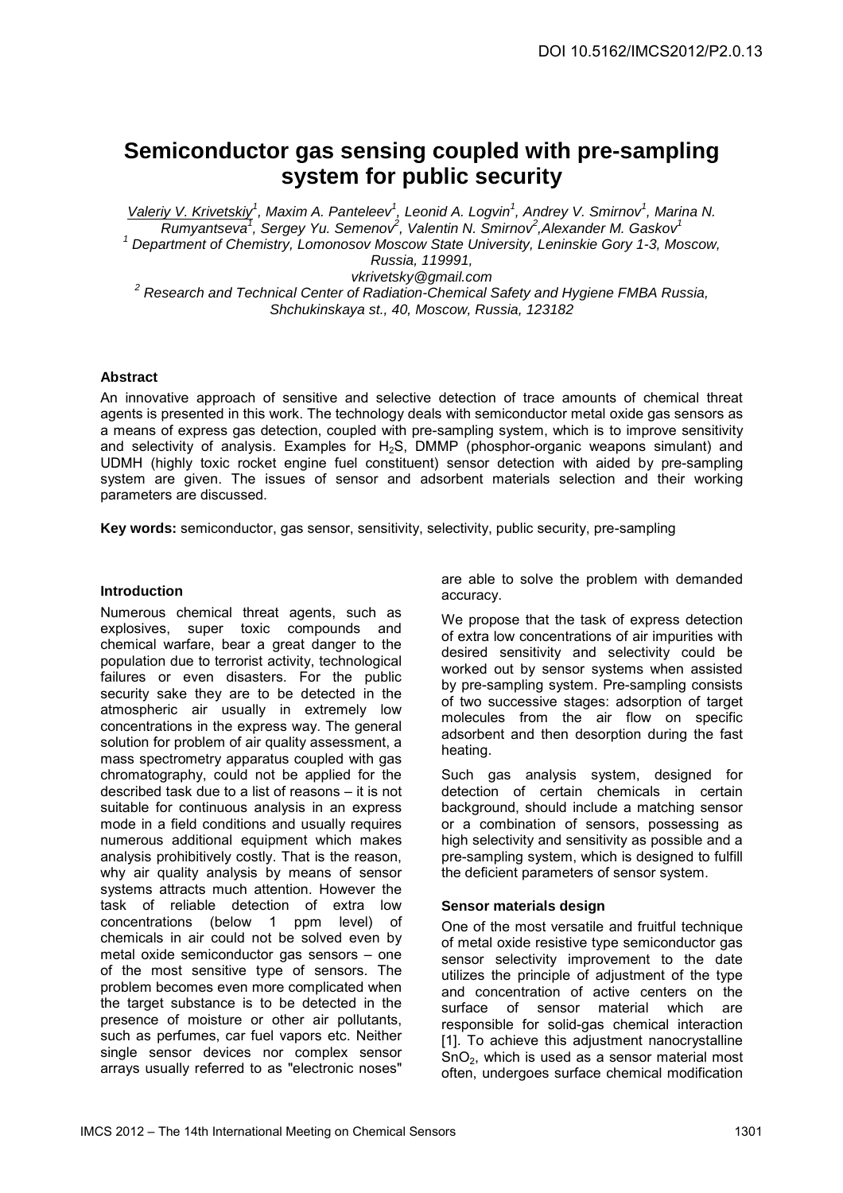# **Semiconductor gas sensing coupled with pre-sampling system for public security**

Valeriy V. Krivetskiy<sup>1</sup>, Maxim A. Panteleev<sup>1</sup>, Leonid A. Logvin<sup>1</sup>, Andrey V. Smirnov<sup>1</sup>, Marina N.  $Rumyantseva<sup>7</sup>$ , Sergey Yu. Semenov<sup>2</sup>, Valentin N. Smirnov<sup>2</sup>, Alexander M. Gaskov<sup>1</sup> <sup>1</sup> Department of Chemistry, Lomonosov Moscow State University, Leninskie Gory 1-3, Moscow, Russia, 119991, vkrivetsky@gmail.com  $2$  Research and Technical Center of Radiation-Chemical Safety and Hygiene FMBA Russia, Shchukinskaya st., 40, Moscow, Russia, 123182

## **Abstract**

An innovative approach of sensitive and selective detection of trace amounts of chemical threat agents is presented in this work. The technology deals with semiconductor metal oxide gas sensors as a means of express gas detection, coupled with pre-sampling system, which is to improve sensitivity and selectivity of analysis. Examples for  $H_2S$ , DMMP (phosphor-organic weapons simulant) and UDMH (highly toxic rocket engine fuel constituent) sensor detection with aided by pre-sampling system are given. The issues of sensor and adsorbent materials selection and their working parameters are discussed.

**Key words:** semiconductor, gas sensor, sensitivity, selectivity, public security, pre-sampling

## **Introduction**

Numerous chemical threat agents, such as explosives, super toxic compounds and chemical warfare, bear a great danger to the population due to terrorist activity, technological failures or even disasters. For the public security sake they are to be detected in the atmospheric air usually in extremely low concentrations in the express way. The general solution for problem of air quality assessment, a mass spectrometry apparatus coupled with gas chromatography, could not be applied for the described task due to a list of reasons – it is not suitable for continuous analysis in an express mode in a field conditions and usually requires numerous additional equipment which makes analysis prohibitively costly. That is the reason, why air quality analysis by means of sensor systems attracts much attention. However the task of reliable detection of extra low concentrations (below 1 ppm level) of chemicals in air could not be solved even by metal oxide semiconductor gas sensors – one of the most sensitive type of sensors. The problem becomes even more complicated when the target substance is to be detected in the presence of moisture or other air pollutants, such as perfumes, car fuel vapors etc. Neither single sensor devices nor complex sensor arrays usually referred to as "electronic noses"

are able to solve the problem with demanded accuracy.

We propose that the task of express detection of extra low concentrations of air impurities with desired sensitivity and selectivity could be worked out by sensor systems when assisted by pre-sampling system. Pre-sampling consists of two successive stages: adsorption of target molecules from the air flow on specific adsorbent and then desorption during the fast heating.

Such gas analysis system, designed for detection of certain chemicals in certain background, should include a matching sensor or a combination of sensors, possessing as high selectivity and sensitivity as possible and a pre-sampling system, which is designed to fulfill the deficient parameters of sensor system.

## **Sensor materials design**

One of the most versatile and fruitful technique of metal oxide resistive type semiconductor gas sensor selectivity improvement to the date utilizes the principle of adjustment of the type and concentration of active centers on the surface of sensor material which are responsible for solid-gas chemical interaction [1]. To achieve this adjustment nanocrystalline  $SnO<sub>2</sub>$ , which is used as a sensor material most often, undergoes surface chemical modification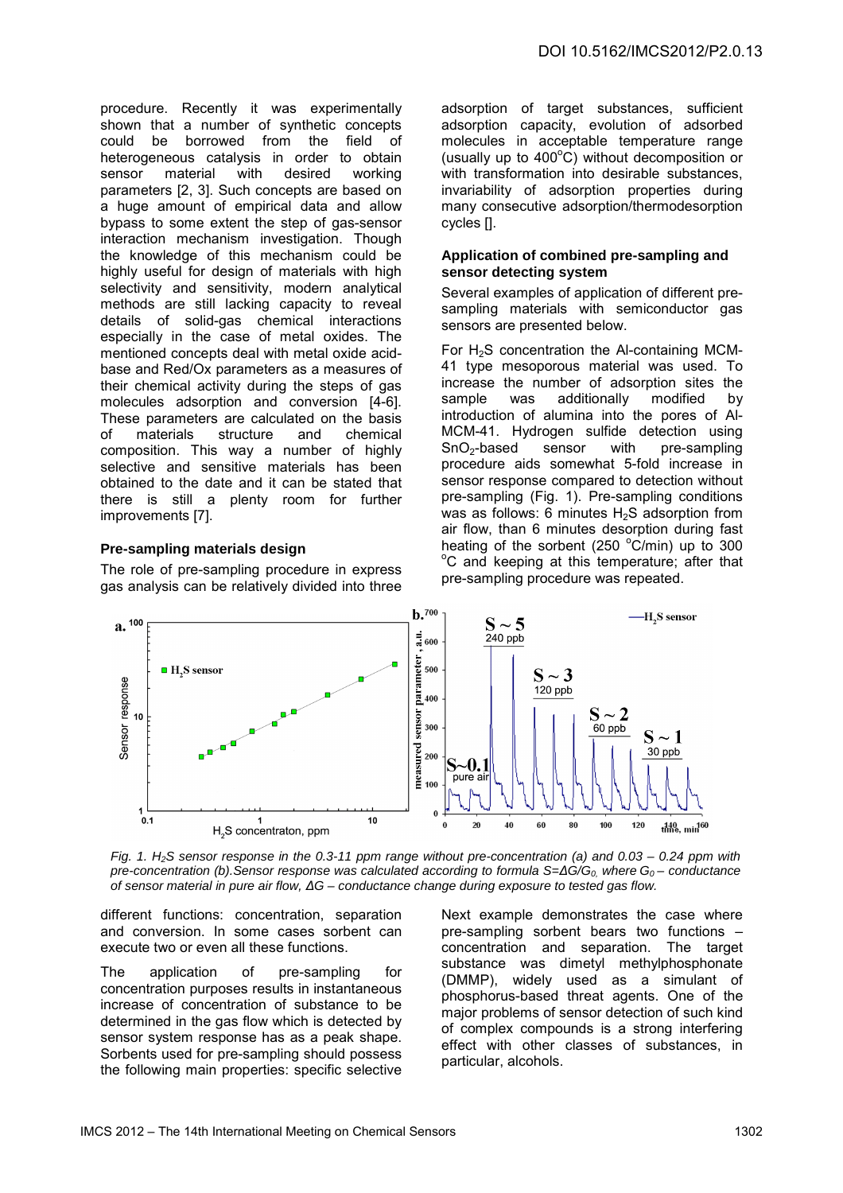procedure. Recently it was experimentally shown that a number of synthetic concepts could be borrowed from the field of heterogeneous catalysis in order to obtain<br>sensor material with desired working sensor material with desired working parameters [2, 3]. Such concepts are based on a huge amount of empirical data and allow bypass to some extent the step of gas-sensor interaction mechanism investigation. Though the knowledge of this mechanism could be highly useful for design of materials with high selectivity and sensitivity, modern analytical methods are still lacking capacity to reveal details of solid-gas chemical interactions especially in the case of metal oxides. The mentioned concepts deal with metal oxide acidbase and Red/Ox parameters as a measures of their chemical activity during the steps of gas molecules adsorption and conversion [4-6]. These parameters are calculated on the basis of materials structure and chemical composition. This way a number of highly selective and sensitive materials has been obtained to the date and it can be stated that there is still a plenty room for further improvements [7].

### **Pre-sampling materials design**

The role of pre-sampling procedure in express gas analysis can be relatively divided into three adsorption of target substances, sufficient adsorption capacity, evolution of adsorbed molecules in acceptable temperature range (usually up to  $400^{\circ}$ C) without decomposition or with transformation into desirable substances, invariability of adsorption properties during many consecutive adsorption/thermodesorption cycles [].

### **Application of combined pre-sampling and sensor detecting system**

Several examples of application of different presampling materials with semiconductor gas sensors are presented below.

For  $H_2S$  concentration the Al-containing MCM-41 type mesoporous material was used. To increase the number of adsorption sites the<br>sample was additionally modified by additionally introduction of alumina into the pores of Al-MCM-41. Hydrogen sulfide detection using<br>SnO<sub>2</sub>-based sensor with pre-sampling sensor with pre-sampling procedure aids somewhat 5-fold increase in sensor response compared to detection without pre-sampling (Fig. 1). Pre-sampling conditions was as follows: 6 minutes  $H_2S$  adsorption from air flow, than 6 minutes desorption during fast heating of the sorbent (250  $^{\circ}$ C/min) up to 300 <sup>o</sup>C and keeping at this temperature; after that pre-sampling procedure was repeated.



Fig. 1. H<sub>2</sub>S sensor response in the 0.3-11 ppm range without pre-concentration (a) and 0.03 – 0.24 ppm with pre-concentration (b).Sensor response was calculated according to formula  $S=\Delta G/G_0$ , where  $G_0$  – conductance of sensor material in pure air flow, ∆G – conductance change during exposure to tested gas flow.

different functions: concentration, separation and conversion. In some cases sorbent can execute two or even all these functions.

The application of pre-sampling for concentration purposes results in instantaneous increase of concentration of substance to be determined in the gas flow which is detected by sensor system response has as a peak shape. Sorbents used for pre-sampling should possess the following main properties: specific selective Next example demonstrates the case where pre-sampling sorbent bears two functions – concentration and separation. The target substance was dimetyl methylphosphonate (DMMP), widely used as a simulant of phosphorus-based threat agents. One of the major problems of sensor detection of such kind of complex compounds is a strong interfering effect with other classes of substances, in particular, alcohols.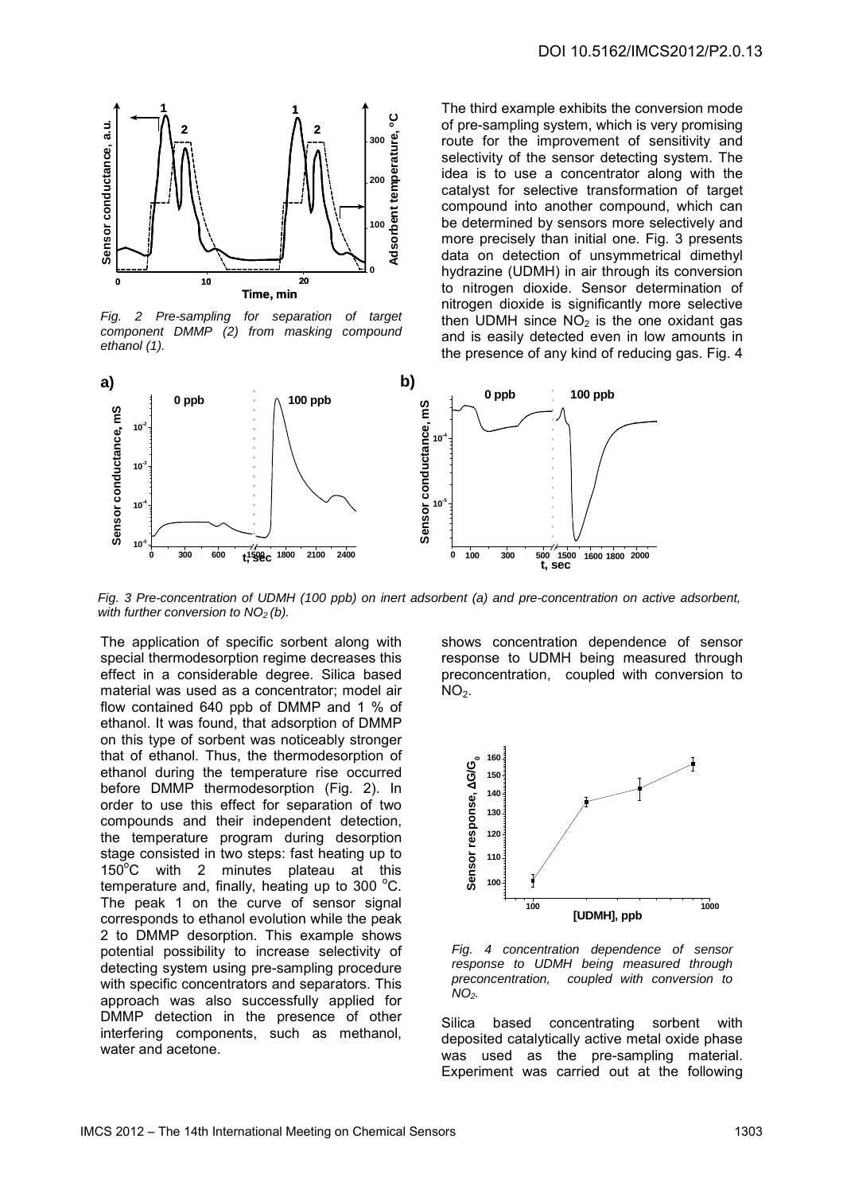

Fig. 2 Pre-sampling for separation of target component DMMP (2) from masking compound ethanol (1).

The third example exhibits the conversion mode of pre-sampling system, which is very promising route for the improvement of sensitivity and selectivity of the sensor detecting system. The idea is to use a concentrator along with the catalyst for selective transformation of target compound into another compound, which can be determined by sensors more selectively and more precisely than initial one. Fig. 3 presents data on detection of unsymmetrical dimethyl hydrazine (UDMH) in air through its conversion to nitrogen dioxide. Sensor determination of nitrogen dioxide is significantly more selective then UDMH since  $N\overline{O}_2$  is the one oxidant gas and is easily detected even in low amounts in the presence of any kind of reducing gas. Fig. 4



Fig. 3 Pre-concentration of UDMH (100 ppb) on inert adsorbent (a) and pre-concentration on active adsorbent, with further conversion to  $NO<sub>2</sub>$  (b).

The application of specific sorbent along with special thermodesorption regime decreases this effect in a considerable degree. Silica based material was used as a concentrator; model air flow contained 640 ppb of DMMP and 1 % of ethanol. It was found, that adsorption of DMMP on this type of sorbent was noticeably stronger that of ethanol. Thus, the thermodesorption of ethanol during the temperature rise occurred before DMMP thermodesorption (Fig. 2). In order to use this effect for separation of two compounds and their independent detection, the temperature program during desorption stage consisted in two steps: fast heating up to  $150^{\circ}$ C with 2 minutes plateau at this temperature and, finally, heating up to 300 $\degree$ C. The peak 1 on the curve of sensor signal corresponds to ethanol evolution while the peak 2 to DMMP desorption. This example shows potential possibility to increase selectivity of detecting system using pre-sampling procedure with specific concentrators and separators. This approach was also successfully applied for DMMP detection in the presence of other interfering components, such as methanol, water and acetone.

shows concentration dependence of sensor response to UDMH being measured through preconcentration, coupled with conversion to  $NO<sub>2</sub>$ .



Fig. 4 concentration dependence of sensor response to UDMH being measured through<br>preconcentration, coupled with conversion to coupled with conversion to  $NO<sub>2</sub>$ .

Silica based concentrating sorbent with deposited catalytically active metal oxide phase was used as the pre-sampling material. Experiment was carried out at the following